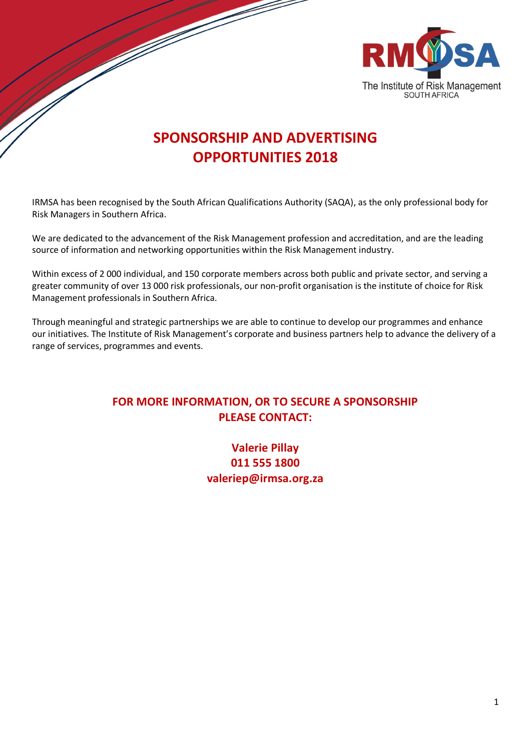

## **SPONSORSHIP AND ADVERTISING OPPORTUNITIES 2018**

IRMSA has been recognised by the South African Qualifications Authority (SAQA), as the only professional body for Risk Managers in Southern Africa.

We are dedicated to the advancement of the Risk Management profession and accreditation, and are the leading source of information and networking opportunities within the Risk Management industry.

Within excess of 2 000 individual, and 150 corporate members across both public and private sector, and serving a greater community of over 13 000 risk professionals, our non-profit organisation is the institute of choice for Risk Management professionals in Southern Africa.

Through meaningful and strategic partnerships we are able to continue to develop our programmes and enhance our initiatives. The Institute of Risk Management's corporate and business partners help to advance the delivery of a range of services, programmes and events.

## **FOR MORE INFORMATION, OR TO SECURE A SPONSORSHIP PLEASE CONTACT:**

**Valerie Pillay 011 555 1800 valeriep@irmsa.org.za**